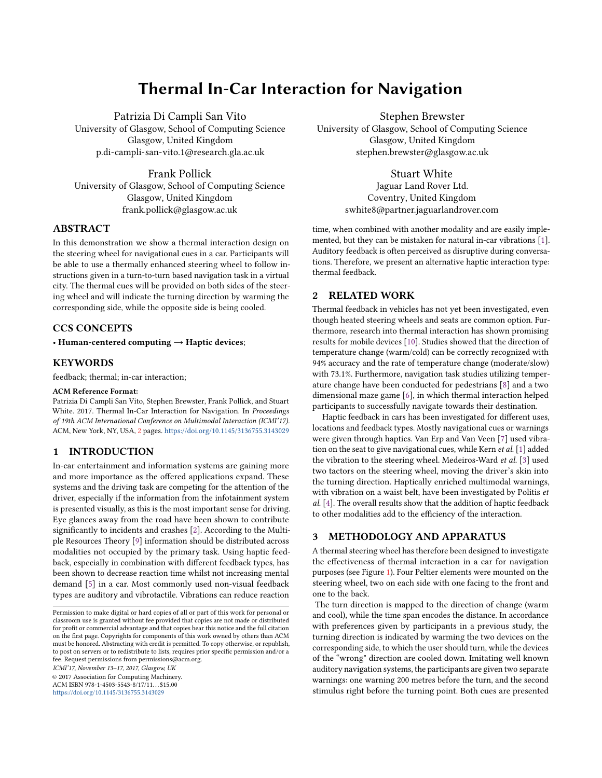# Thermal In-Car Interaction for Navigation

Patrizia Di Campli San Vito

University of Glasgow, School of Computing Science Glasgow, United Kingdom p.di-campli-san-vito.1@research.gla.ac.uk

Frank Pollick

University of Glasgow, School of Computing Science Glasgow, United Kingdom frank.pollick@glasgow.ac.uk

## ABSTRACT

In this demonstration we show a thermal interaction design on the steering wheel for navigational cues in a car. Participants will be able to use a thermally enhanced steering wheel to follow instructions given in a turn-to-turn based navigation task in a virtual city. The thermal cues will be provided on both sides of the steering wheel and will indicate the turning direction by warming the corresponding side, while the opposite side is being cooled.

## CCS CONCEPTS

• Human-centered computing  $\rightarrow$  Haptic devices;

## **KEYWORDS**

feedback; thermal; in-car interaction;

#### ACM Reference Format:

Patrizia Di Campli San Vito, Stephen Brewster, Frank Pollick, and Stuart White. 2017. Thermal In-Car Interaction for Navigation. In Proceedings of 19th ACM International Conference on Multimodal Interaction (ICMI'17). ACM, New York, NY, USA, [2](#page-1-0) pages. <https://doi.org/10.1145/3136755.3143029>

# 1 INTRODUCTION

In-car entertainment and information systems are gaining more and more importance as the offered applications expand. These systems and the driving task are competing for the attention of the driver, especially if the information from the infotainment system is presented visually, as this is the most important sense for driving. Eye glances away from the road have been shown to contribute significantly to incidents and crashes [\[2\]](#page-1-1). According to the Multiple Resources Theory [\[9\]](#page-1-2) information should be distributed across modalities not occupied by the primary task. Using haptic feedback, especially in combination with different feedback types, has been shown to decrease reaction time whilst not increasing mental demand [\[5\]](#page-1-3) in a car. Most commonly used non-visual feedback types are auditory and vibrotactile. Vibrations can reduce reaction

Stephen Brewster

University of Glasgow, School of Computing Science Glasgow, United Kingdom stephen.brewster@glasgow.ac.uk

Stuart White

Jaguar Land Rover Ltd. Coventry, United Kingdom swhite8@partner.jaguarlandrover.com

time, when combined with another modality and are easily implemented, but they can be mistaken for natural in-car vibrations [\[1\]](#page-1-4). Auditory feedback is often perceived as disruptive during conversations. Therefore, we present an alternative haptic interaction type: thermal feedback.

## 2 RELATED WORK

Thermal feedback in vehicles has not yet been investigated, even though heated steering wheels and seats are common option. Furthermore, research into thermal interaction has shown promising results for mobile devices [\[10\]](#page-1-5). Studies showed that the direction of temperature change (warm/cold) can be correctly recognized with 94% accuracy and the rate of temperature change (moderate/slow) with 73.1%. Furthermore, navigation task studies utilizing temperature change have been conducted for pedestrians [\[8\]](#page-1-6) and a two dimensional maze game [\[6\]](#page-1-7), in which thermal interaction helped participants to successfully navigate towards their destination.

Haptic feedback in cars has been investigated for different uses, locations and feedback types. Mostly navigational cues or warnings were given through haptics. Van Erp and Van Veen [\[7\]](#page-1-8) used vibration on the seat to give navigational cues, while Kern et al. [\[1\]](#page-1-4) added the vibration to the steering wheel. Medeiros-Ward et al. [\[3\]](#page-1-9) used two tactors on the steering wheel, moving the driver's skin into the turning direction. Haptically enriched multimodal warnings, with vibration on a waist belt, have been investigated by Politis et al. [\[4\]](#page-1-10). The overall results show that the addition of haptic feedback to other modalities add to the efficiency of the interaction.

## 3 METHODOLOGY AND APPARATUS

A thermal steering wheel has therefore been designed to investigate the effectiveness of thermal interaction in a car for navigation purposes (see Figure [1\)](#page-1-11). Four Peltier elements were mounted on the steering wheel, two on each side with one facing to the front and one to the back.

The turn direction is mapped to the direction of change (warm and cool), while the time span encodes the distance. In accordance with preferences given by participants in a previous study, the turning direction is indicated by warming the two devices on the corresponding side, to which the user should turn, while the devices of the "wrong" direction are cooled down. Imitating well known auditory navigation systems, the participants are given two separate warnings: one warning 200 metres before the turn, and the second stimulus right before the turning point. Both cues are presented